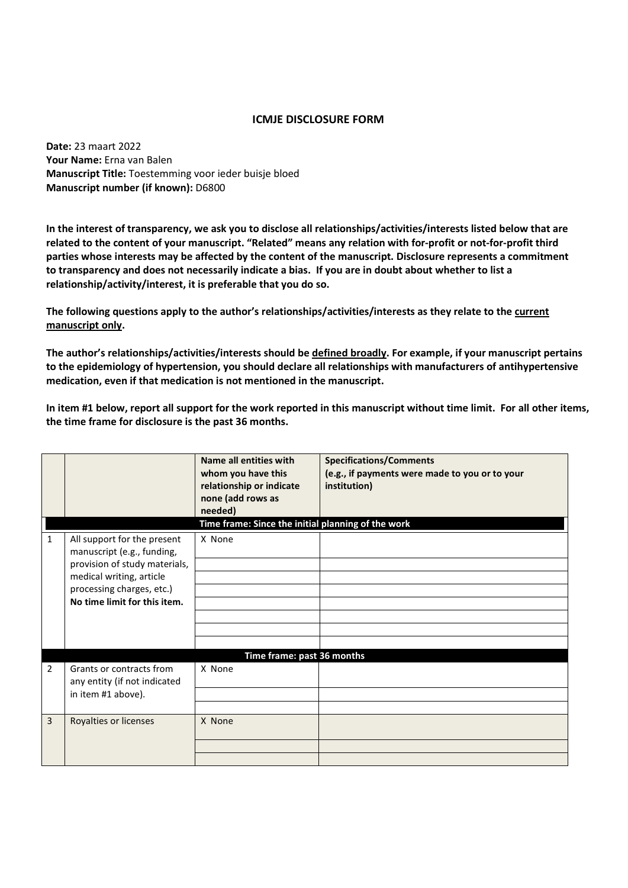## **ICMJE DISCLOSURE FORM**

**Date:** 23 maart 2022 **Your Name:** Erna van Balen **Manuscript Title:** Toestemming voor ieder buisje bloed **Manuscript number (if known):** D6800

**In the interest of transparency, we ask you to disclose all relationships/activities/interests listed below that are related to the content of your manuscript. "Related" means any relation with for-profit or not-for-profit third parties whose interests may be affected by the content of the manuscript. Disclosure represents a commitment to transparency and does not necessarily indicate a bias. If you are in doubt about whether to list a relationship/activity/interest, it is preferable that you do so.** 

**The following questions apply to the author's relationships/activities/interests as they relate to the current manuscript only.** 

**The author's relationships/activities/interests should be defined broadly. For example, if your manuscript pertains to the epidemiology of hypertension, you should declare all relationships with manufacturers of antihypertensive medication, even if that medication is not mentioned in the manuscript.** 

**In item #1 below, report all support for the work reported in this manuscript without time limit. For all other items, the time frame for disclosure is the past 36 months.** 

|                |                                                                                                                                                                                     | Name all entities with<br>whom you have this<br>relationship or indicate<br>none (add rows as<br>needed) | <b>Specifications/Comments</b><br>(e.g., if payments were made to you or to your<br>institution) |  |  |
|----------------|-------------------------------------------------------------------------------------------------------------------------------------------------------------------------------------|----------------------------------------------------------------------------------------------------------|--------------------------------------------------------------------------------------------------|--|--|
|                | Time frame: Since the initial planning of the work                                                                                                                                  |                                                                                                          |                                                                                                  |  |  |
| 1              | All support for the present<br>manuscript (e.g., funding,<br>provision of study materials,<br>medical writing, article<br>processing charges, etc.)<br>No time limit for this item. | X None                                                                                                   |                                                                                                  |  |  |
| $\overline{2}$ | Grants or contracts from<br>any entity (if not indicated<br>in item #1 above).                                                                                                      | Time frame: past 36 months<br>X None                                                                     |                                                                                                  |  |  |
| 3              | Royalties or licenses                                                                                                                                                               | X None                                                                                                   |                                                                                                  |  |  |